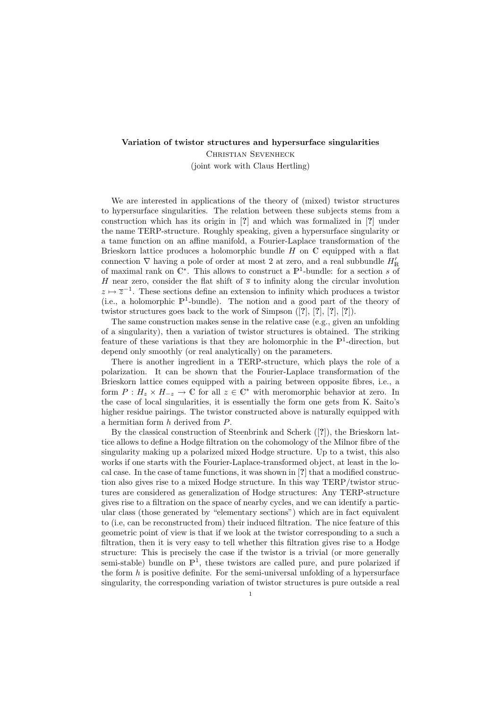## Variation of twistor structures and hypersurface singularities

Christian Sevenheck (joint work with Claus Hertling)

We are interested in applications of the theory of (mixed) twistor structures to hypersurface singularities. The relation between these subjects stems from a construction which has its origin in [?] and which was formalized in [?] under the name TERP-structure. Roughly speaking, given a hypersurface singularity or a tame function on an affine manifold, a Fourier-Laplace transformation of the Brieskorn lattice produces a holomorphic bundle  $H$  on  $\mathbb C$  equipped with a flat connection  $\nabla$  having a pole of order at most 2 at zero, and a real subbundle  $H'_{\mathbb{R}}$ of maximal rank on  $\mathbb{C}^*$ . This allows to construct a  $\mathbb{P}^1$ -bundle: for a section s of H near zero, consider the flat shift of  $\bar{s}$  to infinity along the circular involution  $z \mapsto \overline{z}^{-1}$ . These sections define an extension to infinity which produces a twistor (i.e., a holomorphic  $\mathbb{P}^1$ -bundle). The notion and a good part of the theory of twistor structures goes back to the work of Simpson ([?], [?], [?], [?]).

The same construction makes sense in the relative case (e.g., given an unfolding of a singularity), then a variation of twistor structures is obtained. The striking feature of these variations is that they are holomorphic in the  $\mathbb{P}^1$ -direction, but depend only smoothly (or real analytically) on the parameters.

There is another ingredient in a TERP-structure, which plays the role of a polarization. It can be shown that the Fourier-Laplace transformation of the Brieskorn lattice comes equipped with a pairing between opposite fibres, i.e., a form  $P: H_z \times H_{-z} \to \mathbb{C}$  for all  $z \in \mathbb{C}^*$  with meromorphic behavior at zero. In the case of local singularities, it is essentially the form one gets from K. Saito's higher residue pairings. The twistor constructed above is naturally equipped with a hermitian form h derived from P.

By the classical construction of Steenbrink and Scherk ([?]), the Brieskorn lattice allows to define a Hodge filtration on the cohomology of the Milnor fibre of the singularity making up a polarized mixed Hodge structure. Up to a twist, this also works if one starts with the Fourier-Laplace-transformed object, at least in the local case. In the case of tame functions, it was shown in [?] that a modified construction also gives rise to a mixed Hodge structure. In this way TERP/twistor structures are considered as generalization of Hodge structures: Any TERP-structure gives rise to a filtration on the space of nearby cycles, and we can identify a particular class (those generated by "elementary sections") which are in fact equivalent to (i.e, can be reconstructed from) their induced filtration. The nice feature of this geometric point of view is that if we look at the twistor corresponding to a such a filtration, then it is very easy to tell whether this filtration gives rise to a Hodge structure: This is precisely the case if the twistor is a trivial (or more generally semi-stable) bundle on  $\mathbb{P}^1$ , these twistors are called pure, and pure polarized if the form  $h$  is positive definite. For the semi-universal unfolding of a hypersurface singularity, the corresponding variation of twistor structures is pure outside a real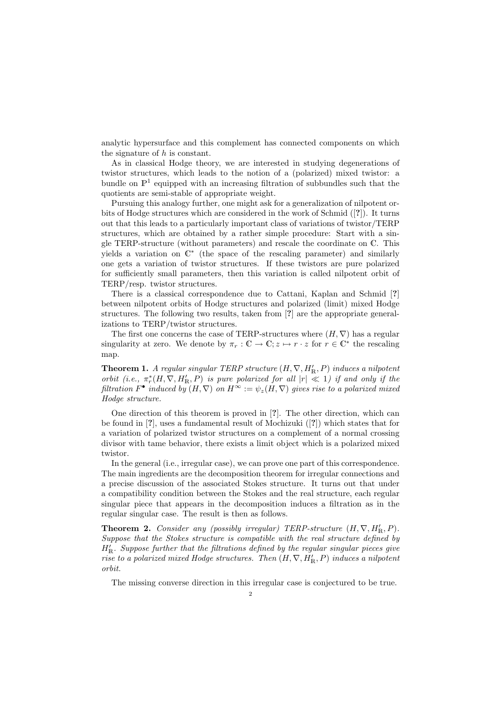analytic hypersurface and this complement has connected components on which the signature of  $h$  is constant.

As in classical Hodge theory, we are interested in studying degenerations of twistor structures, which leads to the notion of a (polarized) mixed twistor: a bundle on  $\mathbb{P}^1$  equipped with an increasing filtration of subbundles such that the quotients are semi-stable of appropriate weight.

Pursuing this analogy further, one might ask for a generalization of nilpotent orbits of Hodge structures which are considered in the work of Schmid ([?]). It turns out that this leads to a particularly important class of variations of twistor/TERP structures, which are obtained by a rather simple procedure: Start with a single TERP-structure (without parameters) and rescale the coordinate on C. This yields a variation on C ∗ (the space of the rescaling parameter) and similarly one gets a variation of twistor structures. If these twistors are pure polarized for sufficiently small parameters, then this variation is called nilpotent orbit of TERP/resp. twistor structures.

There is a classical correspondence due to Cattani, Kaplan and Schmid [?] between nilpotent orbits of Hodge structures and polarized (limit) mixed Hodge structures. The following two results, taken from [?] are the appropriate generalizations to TERP/twistor structures.

The first one concerns the case of TERP-structures where  $(H, \nabla)$  has a regular singularity at zero. We denote by  $\pi_r : \mathbb{C} \to \mathbb{C}$ ;  $z \mapsto r \cdot z$  for  $r \in \mathbb{C}^*$  the rescaling map.

**Theorem 1.** A regular singular TERP structure  $(H, \nabla, H'_{R}, P)$  induces a nilpotent orbit (i.e.,  $\pi_r^*(H, \nabla, H'_{\mathbb{R}}, P)$  is pure polarized for all  $|r| \ll 1$ ) if and only if the filtration  $F^{\bullet}$  induced by  $(H, \nabla)$  on  $H^{\infty} := \psi_z(H, \nabla)$  gives rise to a polarized mixed Hodge structure.

One direction of this theorem is proved in [?]. The other direction, which can be found in [?], uses a fundamental result of Mochizuki ([?]) which states that for a variation of polarized twistor structures on a complement of a normal crossing divisor with tame behavior, there exists a limit object which is a polarized mixed twistor.

In the general (i.e., irregular case), we can prove one part of this correspondence. The main ingredients are the decomposition theorem for irregular connections and a precise discussion of the associated Stokes structure. It turns out that under a compatibility condition between the Stokes and the real structure, each regular singular piece that appears in the decomposition induces a filtration as in the regular singular case. The result is then as follows.

**Theorem 2.** Consider any (possibly irregular) TERP-structure  $(H, \nabla, H'_{\mathbb{R}}, P)$ . Suppose that the Stokes structure is compatible with the real structure defined by  $H'_{\rm R}$ . Suppose further that the filtrations defined by the regular singular pieces give rise to a polarized mixed Hodge structures. Then  $(H, \nabla, H'_{R}, P)$  induces a nilpotent orbit.

The missing converse direction in this irregular case is conjectured to be true.